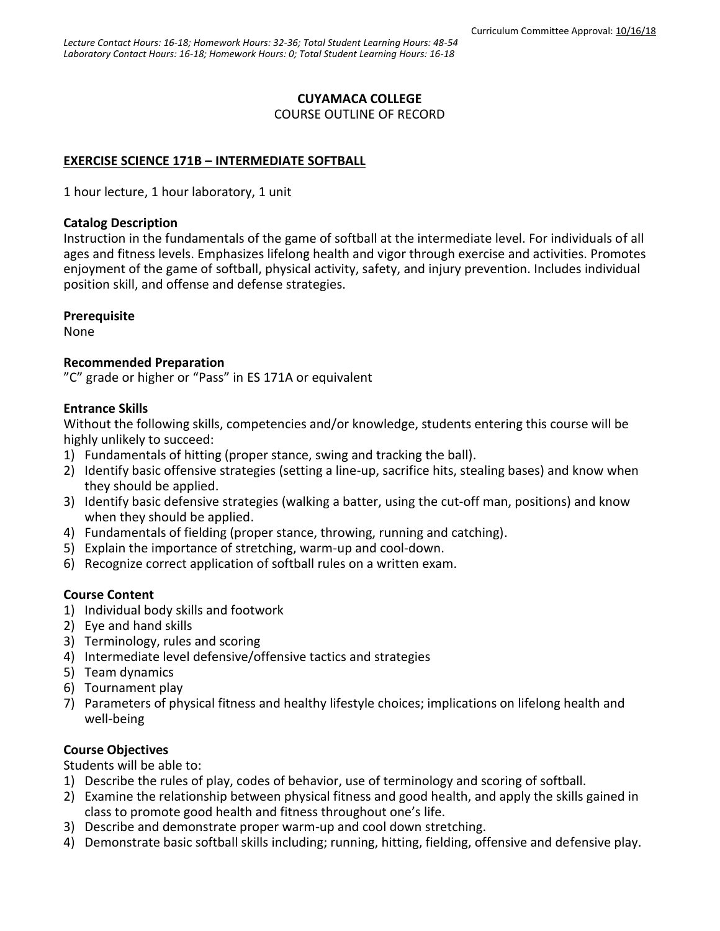### **CUYAMACA COLLEGE**

COURSE OUTLINE OF RECORD

## **EXERCISE SCIENCE 171B – INTERMEDIATE SOFTBALL**

1 hour lecture, 1 hour laboratory, 1 unit

#### **Catalog Description**

Instruction in the fundamentals of the game of softball at the intermediate level. For individuals of all ages and fitness levels. Emphasizes lifelong health and vigor through exercise and activities. Promotes enjoyment of the game of softball, physical activity, safety, and injury prevention. Includes individual position skill, and offense and defense strategies.

### **Prerequisite**

None

### **Recommended Preparation**

"C" grade or higher or "Pass" in ES 171A or equivalent

### **Entrance Skills**

Without the following skills, competencies and/or knowledge, students entering this course will be highly unlikely to succeed:

- 1) Fundamentals of hitting (proper stance, swing and tracking the ball).
- 2) Identify basic offensive strategies (setting a line-up, sacrifice hits, stealing bases) and know when they should be applied.
- 3) Identify basic defensive strategies (walking a batter, using the cut-off man, positions) and know when they should be applied.
- 4) Fundamentals of fielding (proper stance, throwing, running and catching).
- 5) Explain the importance of stretching, warm-up and cool-down.
- 6) Recognize correct application of softball rules on a written exam.

### **Course Content**

- 1) Individual body skills and footwork
- 2) Eye and hand skills
- 3) Terminology, rules and scoring
- 4) Intermediate level defensive/offensive tactics and strategies
- 5) Team dynamics
- 6) Tournament play
- 7) Parameters of physical fitness and healthy lifestyle choices; implications on lifelong health and well-being

## **Course Objectives**

Students will be able to:

- 1) Describe the rules of play, codes of behavior, use of terminology and scoring of softball.
- 2) Examine the relationship between physical fitness and good health, and apply the skills gained in class to promote good health and fitness throughout one's life.
- 3) Describe and demonstrate proper warm-up and cool down stretching.
- 4) Demonstrate basic softball skills including; running, hitting, fielding, offensive and defensive play.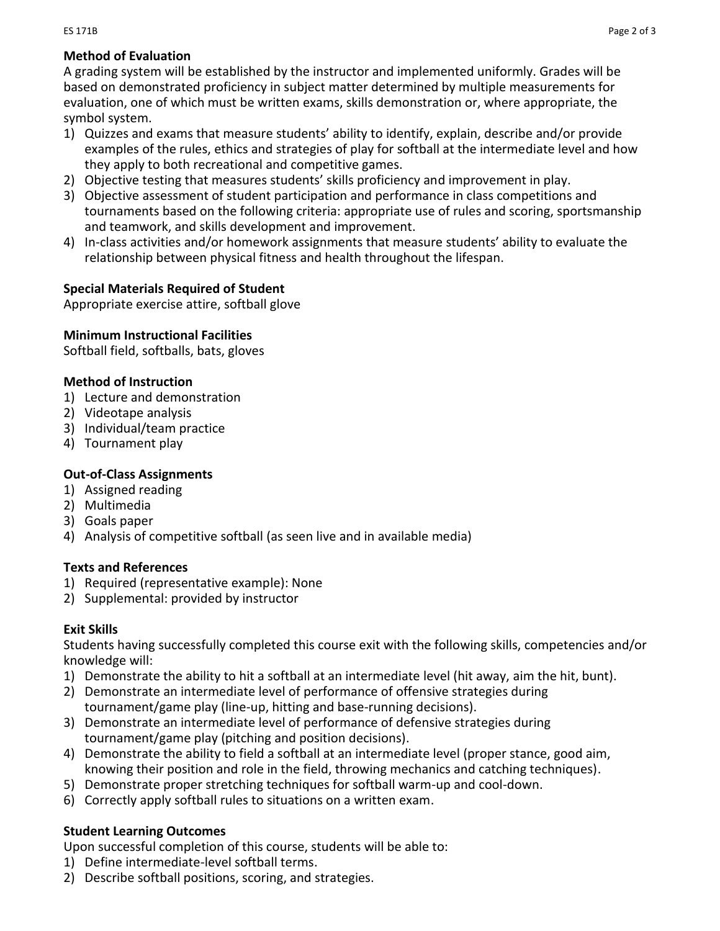# **Method of Evaluation**

A grading system will be established by the instructor and implemented uniformly. Grades will be based on demonstrated proficiency in subject matter determined by multiple measurements for evaluation, one of which must be written exams, skills demonstration or, where appropriate, the symbol system.

- 1) Quizzes and exams that measure students' ability to identify, explain, describe and/or provide examples of the rules, ethics and strategies of play for softball at the intermediate level and how they apply to both recreational and competitive games.
- 2) Objective testing that measures students' skills proficiency and improvement in play.
- 3) Objective assessment of student participation and performance in class competitions and tournaments based on the following criteria: appropriate use of rules and scoring, sportsmanship and teamwork, and skills development and improvement.
- 4) In-class activities and/or homework assignments that measure students' ability to evaluate the relationship between physical fitness and health throughout the lifespan.

## **Special Materials Required of Student**

Appropriate exercise attire, softball glove

## **Minimum Instructional Facilities**

Softball field, softballs, bats, gloves

## **Method of Instruction**

- 1) Lecture and demonstration
- 2) Videotape analysis
- 3) Individual/team practice
- 4) Tournament play

## **Out-of-Class Assignments**

- 1) Assigned reading
- 2) Multimedia
- 3) Goals paper
- 4) Analysis of competitive softball (as seen live and in available media)

## **Texts and References**

- 1) Required (representative example): None
- 2) Supplemental: provided by instructor

## **Exit Skills**

Students having successfully completed this course exit with the following skills, competencies and/or knowledge will:

- 1) Demonstrate the ability to hit a softball at an intermediate level (hit away, aim the hit, bunt).
- 2) Demonstrate an intermediate level of performance of offensive strategies during tournament/game play (line-up, hitting and base-running decisions).
- 3) Demonstrate an intermediate level of performance of defensive strategies during tournament/game play (pitching and position decisions).
- 4) Demonstrate the ability to field a softball at an intermediate level (proper stance, good aim, knowing their position and role in the field, throwing mechanics and catching techniques).
- 5) Demonstrate proper stretching techniques for softball warm-up and cool-down.
- 6) Correctly apply softball rules to situations on a written exam.

## **Student Learning Outcomes**

Upon successful completion of this course, students will be able to:

- 1) Define intermediate-level softball terms.
- 2) Describe softball positions, scoring, and strategies.